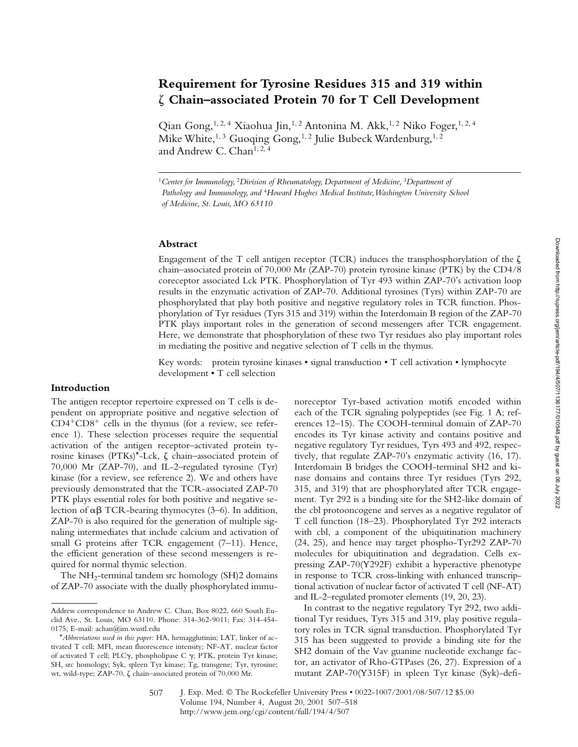# **Requirement for Tyrosine Residues 315 and 319 within** - **Chain–associated Protein 70 for T Cell Development**

Qian Gong,<sup>1, 2, 4</sup> Xiaohua Jin,<sup>1, 2</sup> Antonina M. Akk,<sup>1, 2</sup> Niko Foger,<sup>1, 2, 4</sup> Mike White,<sup>1, 3</sup> Guoqing Gong,<sup>1, 2</sup> Julie Bubeck Wardenburg,<sup>1, 2</sup> and Andrew C. Chan<sup>1, 2, 4</sup>

<sup>1</sup> Center for Immunology, <sup>2</sup>Division of Rheumatology, Department of Medicine, <sup>3</sup>Department of *Pathology and Immunology, and* <sup>4</sup>*Howard Hughes Medical Institute, Washington University School of Medicine, St. Louis, MO 63110*

# **Abstract**

Engagement of the T cell antigen receptor (TCR) induces the transphosphorylation of the  $\zeta$ chain–associated protein of 70,000 Mr (ZAP-70) protein tyrosine kinase (PTK) by the CD4/8 coreceptor associated Lck PTK. Phosphorylation of Tyr 493 within ZAP-70's activation loop results in the enzymatic activation of ZAP-70. Additional tyrosines (Tyrs) within ZAP-70 are phosphorylated that play both positive and negative regulatory roles in TCR function. Phosphorylation of Tyr residues (Tyrs 315 and 319) within the Interdomain B region of the ZAP-70 PTK plays important roles in the generation of second messengers after TCR engagement. Here, we demonstrate that phosphorylation of these two Tyr residues also play important roles in mediating the positive and negative selection of T cells in the thymus.

Key words: protein tyrosine kinases • signal transduction • T cell activation • lymphocyte development • T cell selection

# **Introduction**

The antigen receptor repertoire expressed on T cells is dependent on appropriate positive and negative selection of  $CD4+CD8+$  cells in the thymus (for a review, see reference 1). These selection processes require the sequential activation of the antigen receptor–activated protein tyrosine kinases (PTKs)\*-Lck,  $\zeta$  chain–associated protein of 70,000 Mr (ZAP-70), and IL-2–regulated tyrosine (Tyr) kinase (for a review, see reference 2). We and others have previously demonstrated that the TCR-associated ZAP-70 PTK plays essential roles for both positive and negative selection of  $\alpha\beta$  TCR-bearing thymocytes (3–6). In addition, ZAP-70 is also required for the generation of multiple signaling intermediates that include calcium and activation of small G proteins after TCR engagement (7–11). Hence, the efficient generation of these second messengers is required for normal thymic selection.

The  $NH_2$ -terminal tandem src homology (SH)2 domains of ZAP-70 associate with the dually phosphorylated immunoreceptor Tyr-based activation motifs encoded within each of the TCR signaling polypeptides (see Fig. 1 A; references 12–15). The COOH-terminal domain of ZAP-70 encodes its Tyr kinase activity and contains positive and negative regulatory Tyr residues, Tyrs 493 and 492, respectively, that regulate ZAP-70's enzymatic activity (16, 17). Interdomain B bridges the COOH-terminal SH2 and kinase domains and contains three Tyr residues (Tyrs 292, 315, and 319) that are phosphorylated after TCR engagement. Tyr 292 is a binding site for the SH2-like domain of the cbl protooncogene and serves as a negative regulator of T cell function (18–23). Phosphorylated Tyr 292 interacts with cbl, a component of the ubiquitination machinery (24, 25), and hence may target phospho-Tyr292 ZAP-70 molecules for ubiquitination and degradation. Cells expressing ZAP-70(Y292F) exhibit a hyperactive phenotype in response to TCR cross-linking with enhanced transcriptional activation of nuclear factor of activated T cell (NF-AT) and IL-2–regulated promoter elements (19, 20, 23).

In contrast to the negative regulatory Tyr 292, two additional Tyr residues, Tyrs 315 and 319, play positive regulatory roles in TCR signal transduction. Phosphorylated Tyr 315 has been suggested to provide a binding site for the SH2 domain of the Vav guanine nucleotide exchange factor, an activator of Rho-GTPases (26, 27). Expression of a mutant ZAP-70(Y315F) in spleen Tyr kinase (Syk)-defi-

Address correspondence to Andrew C. Chan, Box 8022, 660 South Euclid Ave., St. Louis, MO 63110. Phone: 314-362-9011; Fax: 314-454- 0175; E-mail: achan@im.wustl.edu

<sup>\*</sup>*Abbreviations used in this paper:* HA, hemagglutinin; LAT, linker of activated T cell; MFI, mean fluorescence intensity; NF-AT, nuclear factor of activated T cell; PLC $\gamma$ , phospholipase C  $\gamma$ ; PTK, protein Tyr kinase; SH, src homology; Syk, spleen Tyr kinase; Tg, transgene; Tyr, tyrosine; wt, wild-type; ZAP-70,  $\zeta$  chain-associated protein of 70,000 Mr.

J. Exp. Med. © The Rockefeller University Press • 0022-1007/2001/08/507/12 \$5.00 Volume 194, Number 4, August 20, 2001 507–518 http://www.jem.org/cgi/content/full/194/4/507 507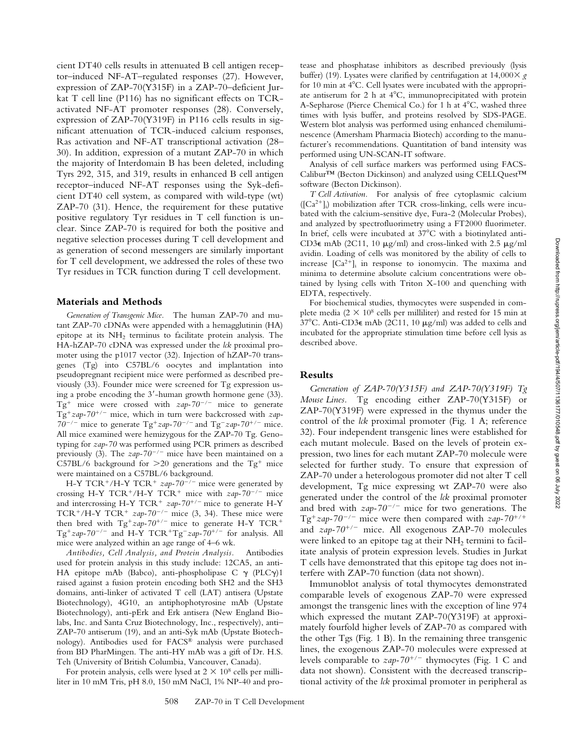cient DT40 cells results in attenuated B cell antigen receptor–induced NF-AT–regulated responses (27). However, expression of ZAP-70(Y315F) in a ZAP-70–deficient Jurkat T cell line (P116) has no significant effects on TCRactivated NF-AT promoter responses (28). Conversely, expression of ZAP-70(Y319F) in P116 cells results in significant attenuation of TCR-induced calcium responses, Ras activation and NF-AT transcriptional activation (28– 30). In addition, expression of a mutant ZAP-70 in which the majority of Interdomain B has been deleted, including Tyrs 292, 315, and 319, results in enhanced B cell antigen receptor–induced NF-AT responses using the Syk-deficient DT40 cell system, as compared with wild-type (wt) ZAP-70 (31). Hence, the requirement for these putative positive regulatory Tyr residues in T cell function is unclear. Since ZAP-70 is required for both the positive and negative selection processes during T cell development and as generation of second messengers are similarly important for T cell development, we addressed the roles of these two Tyr residues in TCR function during T cell development.

# **Materials and Methods**

*Generation of Transgenic Mice.* The human ZAP-70 and mutant ZAP-70 cDNAs were appended with a hemagglutinin (HA) epitope at its  $NH<sub>2</sub>$  terminus to facilitate protein analysis. The HA-hZAP-70 cDNA was expressed under the *lck* proximal promoter using the p1017 vector (32). Injection of hZAP-70 transgenes (Tg) into C57BL/6 oocytes and implantation into pseudopregnant recipient mice were performed as described previously (33). Founder mice were screened for Tg expression using a probe encoding the 3'-human growth hormone gene (33). Tg<sup>+</sup> mice were crossed with  $zap-70^{-/-}$  mice to generate Tg<sup>+</sup>zap-70<sup>+/-</sup> mice, which in turn were backcrossed with *zap*- $70^{-/-}$  mice to generate Tg<sup>+</sup>zap-70<sup>-/-</sup> and Tg<sup>-</sup>zap-70<sup>+/-</sup> mice. All mice examined were hemizygous for the ZAP-70 Tg. Genotyping for *zap-70* was performed using PCR primers as described previously (3). The  $\frac{zap-70^{-/-}}{T}$  mice have been maintained on a C57BL/6 background for  $>$ 20 generations and the Tg<sup>+</sup> mice were maintained on a C57BL/6 background.

H-Y TCR<sup>+</sup>/H-Y TCR<sup>+</sup>  $zap-70^{-/-}$  mice were generated by crossing H-Y TCR<sup>+</sup>/H-Y TCR<sup>+</sup> mice with  $zap-70^{-/-}$  mice and intercrossing H-Y TCR<sup>+</sup>  $zap-70^{+/}$  mice to generate H-Y TCR<sup>+</sup>/H-Y TCR<sup>+</sup>  $zap-70^{-/-}$  mice (3, 34). These mice were then bred with Tg<sup>+</sup>zap-70<sup>+/-</sup> mice to generate H-Y TCR<sup>+</sup> Tg<sup>+</sup>zap-70<sup>-/-</sup> and H-Y TCR<sup>+</sup>Tg<sup>-</sup>zap-70<sup>+/-</sup> for analysis. All mice were analyzed within an age range of 4–6 wk.

*Antibodies, Cell Analysis, and Protein Analysis.* Antibodies used for protein analysis in this study include: 12CA5, an anti-HA epitope mAb (Babco), anti-phospholipase C  $\gamma$  (PLC $\gamma$ )1 raised against a fusion protein encoding both SH2 and the SH3 domains, anti-linker of activated T cell (LAT) antisera (Upstate Biotechnology), 4G10, an antiphophotyrosine mAb (Upstate Biotechnology), anti-pErk and Erk antisera (New England Biolabs, Inc. and Santa Cruz Biotechnology, Inc., respectively), anti– ZAP-70 antiserum (19), and an anti-Syk mAb (Upstate Biotechnology). Antibodies used for FACS® analysis were purchased from BD PharMingen. The anti-HY mAb was a gift of Dr. H.S. Teh (University of British Columbia, Vancouver, Canada).

For protein analysis, cells were lysed at  $2 \times 10^8$  cells per milliliter in 10 mM Tris, pH 8.0, 150 mM NaCl, 1% NP-40 and pro-

tease and phosphatase inhibitors as described previously (lysis buffer) (19). Lysates were clarified by centrifugation at 14,000 *g* for 10 min at  $4^{\circ}$ C. Cell lysates were incubated with the appropriate antiserum for 2 h at  $4^{\circ}$ C, immunoprecipitated with protein A-Sepharose (Pierce Chemical Co.) for 1 h at  $4^{\circ}$ C, washed three times with lysis buffer, and proteins resolved by SDS-PAGE. Western blot analysis was performed using enhanced chemiluminescence (Amersham Pharmacia Biotech) according to the manufacturer's recommendations. Quantitation of band intensity was performed using UN-SCAN-IT software.

Analysis of cell surface markers was performed using FACS-Calibur™ (Becton Dickinson) and analyzed using CELLQuest™ software (Becton Dickinson).

*T Cell Activation.* For analysis of free cytoplasmic calcium ([Ca<sup>2+</sup>]<sub>i</sub>) mobilization after TCR cross-linking, cells were incubated with the calcium-sensitive dye, Fura-2 (Molecular Probes), and analyzed by spectrofluorimetry using a FT2000 fluorimeter. In brief, cells were incubated at  $37^{\circ}$ C with a biotinylated anti-CD3 $\epsilon$  mAb (2C11, 10  $\mu$ g/ml) and cross-linked with 2.5  $\mu$ g/ml avidin. Loading of cells was monitored by the ability of cells to increase  $[Ca^{2+}]_i$  in response to ionomycin. The maxima and minima to determine absolute calcium concentrations were obtained by lysing cells with Triton X-100 and quenching with EDTA, respectively.

For biochemical studies, thymocytes were suspended in complete media ( $2 \times 10^8$  cells per milliliter) and rested for 15 min at  $37^{\circ}$ C. Anti-CD3 $\epsilon$  mAb (2C11, 10  $\mu$ g/ml) was added to cells and incubated for the appropriate stimulation time before cell lysis as described above.

# **Results**

*Generation of ZAP-70(Y315F) and ZAP-70(Y319F) Tg Mouse Lines.* Tg encoding either ZAP-70(Y315F) or ZAP-70(Y319F) were expressed in the thymus under the control of the *lck* proximal promoter (Fig. 1 A; reference 32). Four independent transgenic lines were established for each mutant molecule. Based on the levels of protein expression, two lines for each mutant ZAP-70 molecule were selected for further study. To ensure that expression of ZAP-70 under a heterologous promoter did not alter T cell development, Tg mice expressing wt ZAP-70 were also generated under the control of the *lck* proximal promoter and bred with  $zap-70^{-/-}$  mice for two generations. The Tg<sup>+</sup>zap-70<sup>-/-</sup> mice were then compared with  $zap-70^{+/+}$ and *zap-70<sup>+/-</sup>* mice. All exogenous ZAP-70 molecules were linked to an epitope tag at their  $NH<sub>2</sub>$  termini to facilitate analysis of protein expression levels. Studies in Jurkat T cells have demonstrated that this epitope tag does not interfere with ZAP-70 function (data not shown).

Immunoblot analysis of total thymocytes demonstrated comparable levels of exogenous ZAP-70 were expressed amongst the transgenic lines with the exception of line 974 which expressed the mutant ZAP-70(Y319F) at approximately fourfold higher levels of ZAP-70 as compared with the other Tgs (Fig. 1 B). In the remaining three transgenic lines, the exogenous ZAP-70 molecules were expressed at levels comparable to  $\alpha zap-70^{+/-}$  thymocytes (Fig. 1 C and data not shown). Consistent with the decreased transcriptional activity of the *lck* proximal promoter in peripheral as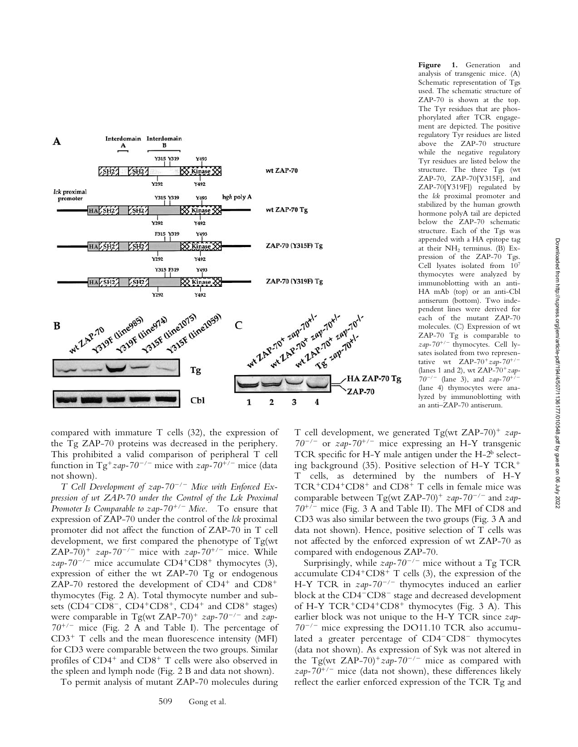

**Figure 1.** Generation and analysis of transgenic mice. (A) Schematic representation of Tgs used. The schematic structure of ZAP-70 is shown at the top. The Tyr residues that are phosphorylated after TCR engagement are depicted. The positive regulatory Tyr residues are listed above the ZAP-70 structure while the negative regulatory Tyr residues are listed below the structure. The three Tgs (wt ZAP-70, ZAP-70[Y315F], and ZAP-70[Y319F]) regulated by the *lck* proximal promoter and stabilized by the human growth hormone polyA tail are depicted below the ZAP-70 schematic structure. Each of the Tgs was appended with a HA epitope tag at their NH2 terminus. (B) Expression of the ZAP-70 Tgs. Cell lysates isolated from 107 thymocytes were analyzed by immunoblotting with an anti-HA mAb (top) or an anti-Cbl antiserum (bottom). Two independent lines were derived for each of the mutant ZAP-70 molecules. (C) Expression of wt ZAP-70 Tg is comparable to  $zap-70^{+/-}$  thymocytes. Cell lysates isolated from two representative wt ZAP-70<sup>+</sup> $zap-70^{+/-}$ (lanes 1 and 2), wt ZAP-70<sup>+</sup> zap- $70^{-/-}$  (lane 3), and *zap-70<sup>+</sup>* (lane 4) thymocytes were analyzed by immunoblotting with an anti–ZAP-70 antiserum.

compared with immature T cells (32), the expression of the Tg ZAP-70 proteins was decreased in the periphery. This prohibited a valid comparison of peripheral T cell function in Tg<sup>+</sup>zap-70<sup>-/-</sup> mice with *zap*-70<sup>+/-</sup> mice (data not shown).

*T* Cell Development of zap-70<sup>-/-</sup> Mice with Enforced Ex*pression of wt ZAP-70 under the Control of the Lck Proximal Promoter Is Comparable to zap-70<sup>+/-</sup> Mice.* To ensure that expression of ZAP-70 under the control of the *lck* proximal promoter did not affect the function of ZAP-70 in T cell development, we first compared the phenotype of Tg(wt ZAP-70)<sup>+</sup>  $zap-70^{-/-}$  mice with  $zap-70^{+/-}$  mice. While *zap-70<sup>-/-</sup>* mice accumulate  $CD4+CD8$ <sup>+</sup> thymocytes (3), expression of either the wt ZAP-70 Tg or endogenous ZAP-70 restored the development of  $CD4^+$  and  $CD8^+$ thymocytes (Fig. 2 A). Total thymocyte number and subsets (CD4<sup>-</sup>CD8<sup>-</sup>, CD4<sup>+</sup>CD8<sup>+</sup>, CD4<sup>+</sup> and CD8<sup>+</sup> stages) were comparable in Tg(wt ZAP-70)<sup>+</sup>  $zap-70^{-/-}$  and  $zap 70^{+/}$  mice (Fig. 2 A and Table I). The percentage of  $CD3^+$  T cells and the mean fluorescence intensity (MFI) for CD3 were comparable between the two groups. Similar profiles of  $CD4^+$  and  $CD8^+$  T cells were also observed in the spleen and lymph node (Fig. 2 B and data not shown).

To permit analysis of mutant ZAP-70 molecules during

T cell development, we generated Tg(wt ZAP-70)<sup>+</sup> zap- $70^{-/-}$  or  $\frac{zap - 70^{+/-}}{ }$  mice expressing an H-Y transgenic TCR specific for H-Y male antigen under the H- $2<sup>b</sup>$  selecting background  $(35)$ . Positive selection of H-Y TCR<sup>+</sup> T cells, as determined by the numbers of H-Y  $TCR+CD4+CD8<sup>+</sup>$  and  $CD8<sup>+</sup>$  T cells in female mice was comparable between Tg(wt ZAP-70)<sup>+</sup>  $\alpha zap$ -70<sup>-/-</sup> and  $\alpha zap$ -70<sup>+/-</sup> mice (Fig. 3 A and Table II). The MFI of CD8 and CD3 was also similar between the two groups (Fig. 3 A and data not shown). Hence, positive selection of T cells was not affected by the enforced expression of wt ZAP-70 as compared with endogenous ZAP-70.

Surprisingly, while  $\alpha zap-70^{-/-}$  mice without a Tg TCR accumulate  $CD4+CD8+T$  cells (3), the expression of the H-Y TCR in  $\text{gap-70}^{-/-}$  thymocytes induced an earlier block at the  $CD4$ <sup>- $CD8$ <sup>-</sup> stage and decreased development</sup> of H-Y TCR<sup>+</sup>CD4<sup>+</sup>CD8<sup>+</sup> thymocytes (Fig. 3 A). This earlier block was not unique to the H-Y TCR since *zap-* $70^{-/-}$  mice expressing the DO11.10 TCR also accumulated a greater percentage of CD4<sup>-</sup>CD8<sup>-</sup> thymocytes (data not shown). As expression of Syk was not altered in the Tg(wt ZAP-70)<sup>+</sup> $zap-70^{-/-}$  mice as compared with  $zap-70^{+/}$  mice (data not shown), these differences likely reflect the earlier enforced expression of the TCR Tg and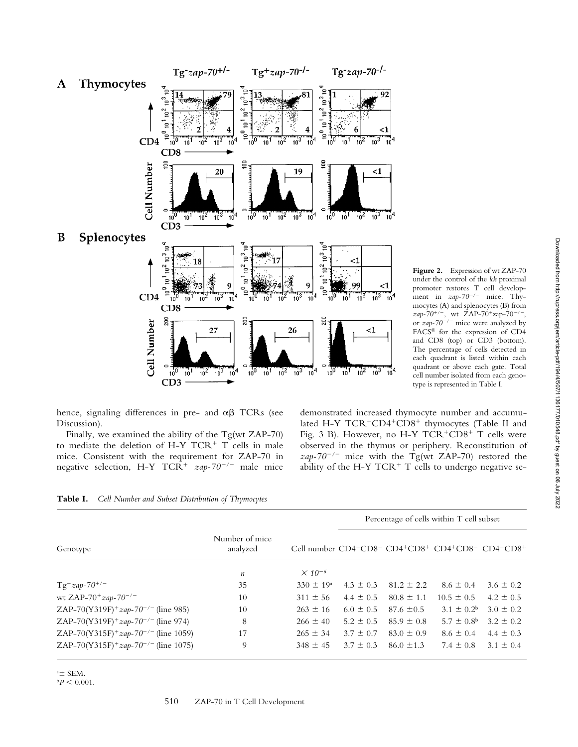

hence, signaling differences in pre- and  $\alpha\beta$  TCRs (see Discussion).

 $10^{0}$  $\frac{1}{10}$ <sup>1</sup>

 $CD3$ 

Thymocytes

Splenocytes

້າ

ॄै

م<br>10

ົ⊇

₽

 $^{10}$  $\frac{1}{10}$ 

CD<sub>8</sub> ខ្ទ

> $10^{0}$  $\frac{1}{10}$

 $CD3$ 

ےّ

ຸ້

ূ≥

È

Ξ  $CD4$ 

**Cell Number** 

CD<sub>8</sub> g

 $10<sup>1</sup>$ 

 $CD4$ 

**Cell Number** 

14

 $\mathbf{A}$ 

B

Finally, we examined the ability of the Tg(wt ZAP-70) to mediate the deletion of H-Y  $TCR^+$  T cells in male mice. Consistent with the requirement for ZAP-70 in negative selection, H-Y TCR<sup>+</sup> zap-70<sup>-/-</sup> male mice

demonstrated increased thymocyte number and accumulated H-Y TCR+CD4+CD8+ thymocytes (Table II and Fig. 3 B). However, no H-Y TCR+CD8+ T cells were observed in the thymus or periphery. Reconstitution of  $zap-70^{-/-}$  mice with the Tg(wt ZAP-70) restored the ability of the H-Y TCR<sup>+</sup> T cells to undergo negative se-

| Table I. Cell Number and Subset Distribution of Thymocytes |  |
|------------------------------------------------------------|--|
|------------------------------------------------------------|--|

|                                                       |                            |                      | Percentage of cells within T cell subset |                |                                                                                                                                                                                                                         |               |
|-------------------------------------------------------|----------------------------|----------------------|------------------------------------------|----------------|-------------------------------------------------------------------------------------------------------------------------------------------------------------------------------------------------------------------------|---------------|
| Genotype                                              | Number of mice<br>analyzed |                      |                                          |                | Cell number $CD4$ <sup>-<math>CD8</math>-<math>CD4</math><sup>+</sup><math>CD8</math><sup>+</sup><math>CD4</math><sup>+</sup><math>CD8</math><sup>-<math>CD4</math></sup><sup>-<math>CD8</math><sup>+</sup></sup></sup> |               |
|                                                       | $\boldsymbol{n}$           | $\times 10^{-6}$     |                                          |                |                                                                                                                                                                                                                         |               |
| $Tg^{-}zap-70^{+/-}$                                  | 35                         | $330 \pm 19^{\circ}$ | $4.3 \pm 0.3$                            | $81.2 \pm 2.2$ | $8.6 \pm 0.4$                                                                                                                                                                                                           | $3.6 \pm 0.2$ |
| wt ZAP-70 <sup>+</sup> $zap$ -70 <sup>-/-</sup>       | 10                         | $311 \pm 56$         | $4.4 \pm 0.5$                            | $80.8 \pm 1.1$ | $10.5 \pm 0.5$                                                                                                                                                                                                          | $4.2 \pm 0.5$ |
| ZAP-70(Y319F) <sup>+</sup> $zap-70^{-/-}$ (line 985)  | 10                         | $263 \pm 16$         | $6.0 \pm 0.5$                            | $87.6 \pm 0.5$ | $3.1 \pm 0.2^b$                                                                                                                                                                                                         | $3.0 \pm 0.2$ |
| ZAP-70(Y319F) <sup>+</sup> $zap-70^{-/-}$ (line 974)  | 8                          | $266 \pm 40$         | $5.2 \pm 0.5$                            | $85.9 \pm 0.8$ | $5.7 \pm 0.8^{\rm b}$                                                                                                                                                                                                   | $3.2 \pm 0.2$ |
| ZAP-70(Y315F) <sup>+</sup> $zap-70^{-/-}$ (line 1059) | 17                         | $265 \pm 34$         | $3.7 \pm 0.7$                            | $83.0 \pm 0.9$ | $8.6 \pm 0.4$                                                                                                                                                                                                           | $4.4 \pm 0.3$ |
| ZAP-70(Y315F) <sup>+</sup> $zap-70^{-/-}$ (line 1075) | 9                          | $348 \pm 45$         | $3.7 \pm 0.3$                            | $86.0 \pm 1.3$ | $7.4 \pm 0.8$                                                                                                                                                                                                           | $3.1 \pm 0.4$ |

 $a \pm$  SEM.

 $bP < 0.001$ .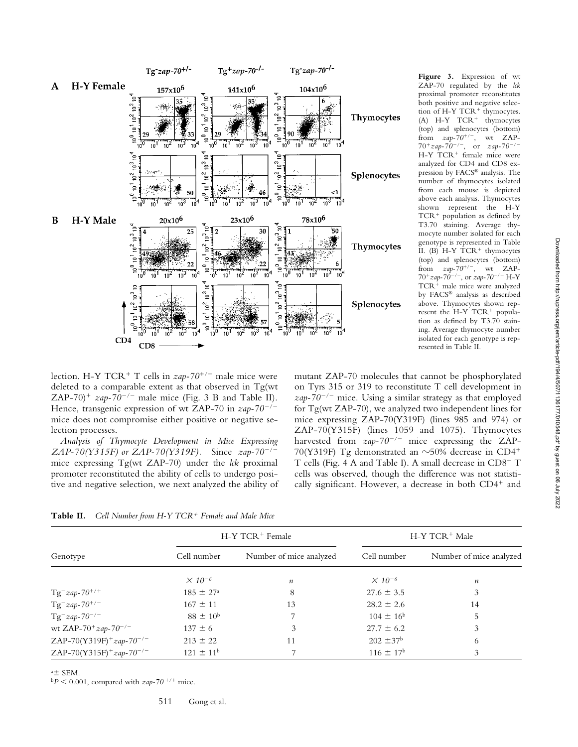

**Figure 3.** Expression of wt ZAP-70 regulated by the *lck* proximal promoter reconstitutes both positive and negative selection of H-Y  $TCR^+$  thymocytes.  $(A)$  H-Y TCR<sup>+</sup> thymocytes (top) and splenocytes (bottom) from  $zap-70^{+/-}$ , wt ZAP- $70^{+}$ zap-70<sup>-/-</sup>, or *zap-70<sup>-/-</sup>* H-Y TCR<sup>+</sup> female mice were analyzed for CD4 and CD8 expression by FACS® analysis. The number of thymocytes isolated from each mouse is depicted above each analysis. Thymocytes shown represent the H-Y  $TCR<sup>+</sup>$  population as defined by T3.70 staining. Average thymocyte number isolated for each genotype is represented in Table II. (B)  $H-Y$  TCR<sup>+</sup> thymocytes (top) and splenocytes (bottom) from  $zap-70^{+/-}$ , wt ZAP-70<sup>+</sup>*zap-70<sup>-/-</sup>*, or *zap-70<sup>-/-</sup>* H-Y  $TCR<sup>+</sup>$  male mice were analyzed by FACS® analysis as described above. Thymocytes shown represent the H-Y TCR<sup>+</sup> population as defined by T3.70 staining. Average thymocyte number isolated for each genotype is represented in Table II.

lection. H-Y TCR<sup>+</sup> T cells in  $\alpha zap-70^{+/-}$  male mice were deleted to a comparable extent as that observed in Tg(wt ZAP-70)<sup>+</sup>  $zap-70^{-/-}$  male mice (Fig. 3 B and Table II). Hence, transgenic expression of wt ZAP-70 in *zap-70/* mice does not compromise either positive or negative selection processes.

*Analysis of Thymocyte Development in Mice Expressing ZAP-70(Y315F) or ZAP-70(Y319F).* Since *zap-70/* mice expressing Tg(wt ZAP-70) under the *lck* proximal promoter reconstituted the ability of cells to undergo positive and negative selection, we next analyzed the ability of mutant ZAP-70 molecules that cannot be phosphorylated on Tyrs 315 or 319 to reconstitute T cell development in *zap-70/* mice. Using a similar strategy as that employed for Tg(wt ZAP-70), we analyzed two independent lines for mice expressing ZAP-70(Y319F) (lines 985 and 974) or ZAP-70(Y315F) (lines 1059 and 1075). Thymocytes harvested from  $\alpha zap-70^{-/-}$  mice expressing the ZAP-70(Y319F) Tg demonstrated an  $\sim$ 50% decrease in CD4<sup>+</sup> T cells (Fig. 4 A and Table I). A small decrease in  $CD8^+$  T cells was observed, though the difference was not statistically significant. However, a decrease in both  $CD4^+$  and

**Table II.** *Cell Number from H-Y TCR<sup>+</sup> Female and Male Mice* 

|                                                  |                      | H-Y TCR <sup>+</sup> Female | H-Y TCR <sup>+</sup> Male |                         |  |
|--------------------------------------------------|----------------------|-----------------------------|---------------------------|-------------------------|--|
| Genotype                                         | Cell number          | Number of mice analyzed     | Cell number               | Number of mice analyzed |  |
|                                                  | $\times 10^{-6}$     | $\boldsymbol{n}$            | $\times 10^{-6}$          | $\boldsymbol{n}$        |  |
| $Tg^{-}zap - 70^{+/+}$                           | $185 \pm 27^{\circ}$ | 8                           | $27.6 \pm 3.5$            | 3                       |  |
| $Tg^{-}zap - 70^{+/-}$                           | $167 \pm 11$         | 13                          | $28.2 \pm 2.6$            | 14                      |  |
| $Tg^{-}zap - 70^{-/-}$                           | $88 \pm 10^{6}$      |                             | $104 \pm 16^{\circ}$      | 5                       |  |
| wt ZAP-70 <sup>+</sup> $zap$ -70 <sup>-/-</sup>  | $137 \pm 6$          | 3                           | $27.7 \pm 6.2$            | 3                       |  |
| ZAP-70(Y319F) <sup>+</sup> zap-70 <sup>-/-</sup> | $213 \pm 22$         | 11                          | $202 \pm 37^{\rm b}$      | 6                       |  |
| ZAP-70(Y315F) <sup>+</sup> zap-70 <sup>-/-</sup> | $121 \pm 11^{\rm b}$ |                             | $116 \pm 17^{\rm b}$      |                         |  |

 $a \pm$  SEM.

 $bP < 0.001$ , compared with  $zap-70$ <sup>+/+</sup> mice.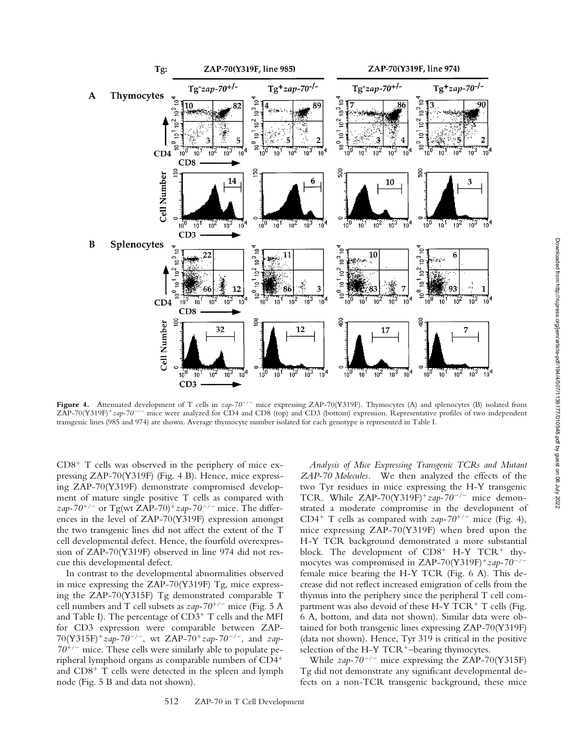

Figure 4. Attenuated development of T cells in  $zap-70^{-/-}$  mice expressing ZAP-70(Y319F). Thymocytes (A) and splenocytes (B) isolated from ZAP-70(Y319F)<sup>+</sup>zap-70<sup>-/-</sup> mice were analyzed for CD4 and CD8 (top) and CD3 (bottom) expression. Representative profiles of two independent transgenic lines (985 and 974) are shown. Average thymocyte number isolated for each genotype is represented in Table I.

 $CD8<sup>+</sup>$  T cells was observed in the periphery of mice expressing ZAP-70(Y319F) (Fig. 4 B). Hence, mice expressing ZAP-70(Y319F) demonstrate compromised development of mature single positive T cells as compared with *zap-70<sup>+/-</sup>* or Tg(wt ZAP-70)<sup>+</sup> $zap$ -70<sup>-/-</sup> mice. The differences in the level of ZAP-70(Y319F) expression amongst the two transgenic lines did not affect the extent of the T cell developmental defect. Hence, the fourfold overexpression of ZAP-70(Y319F) observed in line 974 did not rescue this developmental defect.

In contrast to the developmental abnormalities observed in mice expressing the ZAP-70(Y319F) Tg, mice expressing the ZAP-70(Y315F) Tg demonstrated comparable T cell numbers and T cell subsets as  $\frac{zap-70^{+/-}}{^{-}}$  mice (Fig. 5 A and Table I). The percentage of  $CD3^+$  T cells and the MFI for CD3 expression were comparable between ZAP-70(Y315F)*zap-70/*, wt ZAP-70*zap-70/*, and *zap-* $70^{+/}$  mice. These cells were similarly able to populate peripheral lymphoid organs as comparable numbers of CD4 and  $CD8<sup>+</sup>$  T cells were detected in the spleen and lymph node (Fig. 5 B and data not shown).

*Analysis of Mice Expressing Transgenic TCRs and Mutant ZAP-70 Molecules.* We then analyzed the effects of the two Tyr residues in mice expressing the H-Y transgenic TCR. While ZAP-70(Y319F)<sup>+</sup>zap-70<sup>-/-</sup> mice demonstrated a moderate compromise in the development of CD4<sup>+</sup> T cells as compared with  $\alpha zap-70^{+/}$  mice (Fig. 4), mice expressing ZAP-70(Y319F) when bred upon the H-Y TCR background demonstrated a more substantial block. The development of  $CD8^+$  H-Y TCR<sup>+</sup> thymocytes was compromised in ZAP-70(Y319F)<sup>+</sup> $zap$ -70<sup>-/-</sup> female mice bearing the H-Y TCR (Fig. 6 A). This decrease did not reflect increased emigration of cells from the thymus into the periphery since the peripheral T cell compartment was also devoid of these H-Y  $TCR^+$  T cells (Fig. 6 A, bottom, and data not shown). Similar data were obtained for both transgenic lines expressing ZAP-70(Y319F) (data not shown). Hence, Tyr 319 is critical in the positive selection of the H-Y TCR<sup>+</sup>-bearing thymocytes.

While *zap-70/* mice expressing the ZAP-70(Y315F) Tg did not demonstrate any significant developmental defects on a non-TCR transgenic background, these mice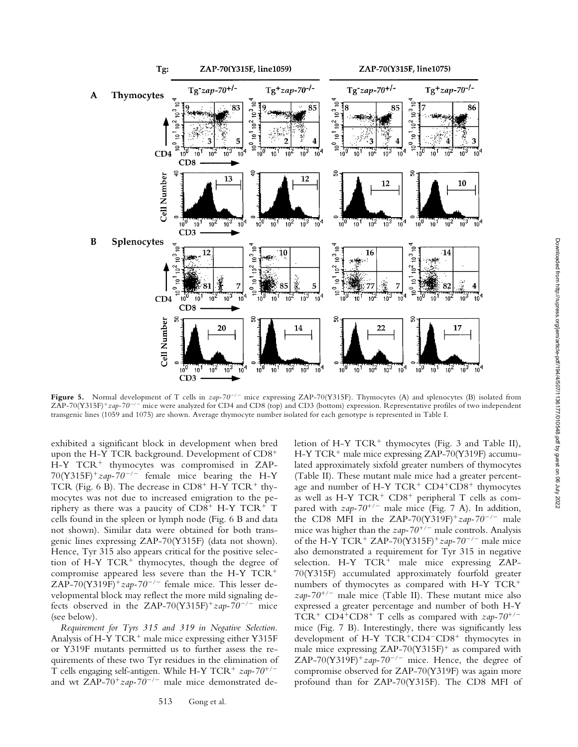Downloaded from http://rupress.org/jem/article-pdf/194/4/507/1136177/010548.pdf by guest on 06 July 2022

Downloaded from http://rupress.org/jem/article-pdf/194/4/507/1136177/010548.pdf by guest on 06 July 2022



Figure 5. Normal development of T cells in  $zap-70^{-/-}$  mice expressing ZAP-70(Y315F). Thymocytes (A) and splenocytes (B) isolated from ZAP-70(Y315F)<sup>+</sup>zap-70<sup>-/-</sup> mice were analyzed for CD4 and CD8 (top) and CD3 (bottom) expression. Representative profiles of two independent transgenic lines (1059 and 1075) are shown. Average thymocyte number isolated for each genotype is represented in Table I.

exhibited a significant block in development when bred upon the H-Y TCR background. Development of CD8  $H-Y$  TCR<sup>+</sup> thymocytes was compromised in ZAP- $70(Y315F)^+$ zap-70<sup>-/-</sup> female mice bearing the H-Y TCR (Fig. 6 B). The decrease in  $CD8<sup>+</sup>$  H-Y TCR<sup>+</sup> thymocytes was not due to increased emigration to the periphery as there was a paucity of CD8<sup>+</sup> H-Y TCR<sup>+</sup> T cells found in the spleen or lymph node (Fig. 6 B and data not shown). Similar data were obtained for both transgenic lines expressing ZAP-70(Y315F) (data not shown). Hence, Tyr 315 also appears critical for the positive selection of H-Y  $TCR<sup>+</sup>$  thymocytes, though the degree of compromise appeared less severe than the H-Y TCR ZAP-70(Y319F)<sup>+</sup> $zap$ -70<sup>-/-</sup> female mice. This lesser developmental block may reflect the more mild signaling defects observed in the ZAP-70(Y315F)<sup>+</sup> $zap$ -70<sup>-/-</sup> mice (see below).

*Requirement for Tyrs 315 and 319 in Negative Selection.* Analysis of H-Y  $TCR<sup>+</sup>$  male mice expressing either Y315F or Y319F mutants permitted us to further assess the requirements of these two Tyr residues in the elimination of T cells engaging self-antigen. While H-Y TCR<sup>+</sup> zap-70<sup>+/-</sup> and wt ZAP-70<sup>+</sup>zap-70<sup>-/-</sup> male mice demonstrated de-

513 Gong et al.

letion of H-Y  $TCR^+$  thymocytes (Fig. 3 and Table II),  $H-Y TCR<sup>+</sup>$  male mice expressing ZAP-70(Y319F) accumulated approximately sixfold greater numbers of thymocytes (Table II). These mutant male mice had a greater percentage and number of H-Y TCR<sup>+</sup> CD4<sup>+</sup>CD8<sup>+</sup> thymocytes as well as H-Y  $TCR^+$   $CD8^+$  peripheral T cells as compared with  $zap-70^{+/-}$  male mice (Fig. 7 A). In addition, the CD8 MFI in the ZAP-70(Y319F)<sup>+</sup> $zap$ -70<sup>-/-</sup> male mice was higher than the  $\alpha zap-70^{+/-}$  male controls. Analysis of the H-Y TCR<sup>+</sup> ZAP-70(Y315F)<sup>+</sup> $zap-70^{-/-}$  male mice also demonstrated a requirement for Tyr 315 in negative selection. H-Y TCR<sup>+</sup> male mice expressing ZAP-70(Y315F) accumulated approximately fourfold greater numbers of thymocytes as compared with H-Y TCR  $\alpha zap-70^{+/}$  male mice (Table II). These mutant mice also expressed a greater percentage and number of both H-Y TCR<sup>+</sup> CD4<sup>+</sup>CD8<sup>+</sup> T cells as compared with  $zap-70^{+/-}$ mice (Fig. 7 B). Interestingly, there was significantly less development of H-Y  $TCR+CD4-CD8$ <sup>+</sup> thymocytes in male mice expressing  $ZAP-70(Y315F)^+$  as compared with ZAP-70(Y319F)<sup>+</sup> $zap$ -70<sup>-/-</sup> mice. Hence, the degree of compromise observed for ZAP-70(Y319F) was again more profound than for ZAP-70(Y315F). The CD8 MFI of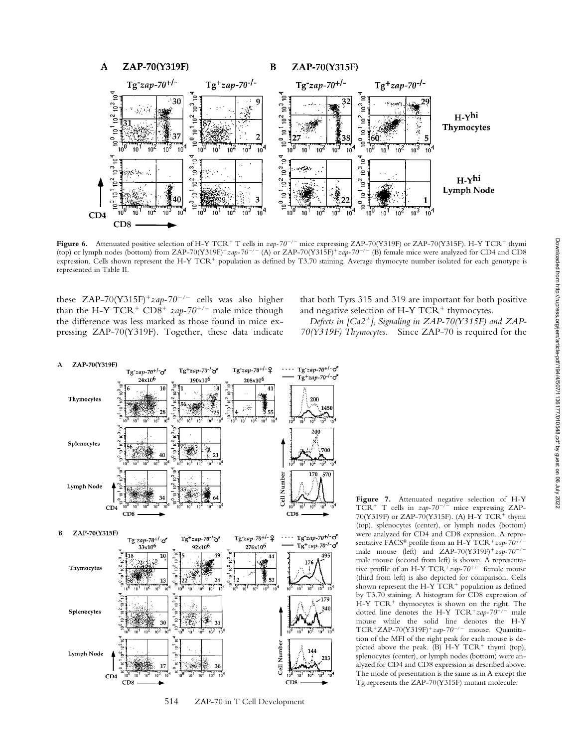

Figure 6. Attenuated positive selection of H-Y TCR<sup>+</sup> T cells in *zap-70<sup>-/-</sup>* mice expressing ZAP-70(Y319F) or ZAP-70(Y315F). H-Y TCR<sup>+</sup> thymi (top) or lymph nodes (bottom) from ZAP-70(Y319F)<sup>+</sup>zap-70<sup>-/-</sup> (A) or ZAP-70(Y315F)<sup>+</sup>zap-70<sup>-/-</sup> (B) female mice were analyzed for CD4 and CD8 expression. Cells shown represent the H-Y TCR<sup>+</sup> population as defined by T3.70 staining. Average thymocyte number isolated for each genotype is represented in Table II.

these ZAP-70(Y315F)<sup>+</sup>zap-70<sup>-/-</sup> cells was also higher than the H-Y TCR<sup>+</sup> CD8<sup>+</sup>  $zap-70^{+/}$  male mice though the difference was less marked as those found in mice expressing ZAP-70(Y319F). Together, these data indicate

that both Tyrs 315 and 319 are important for both positive and negative selection of H-Y  $TCR<sup>+</sup>$  thymocytes.

*Defects in [Ca2]i Signaling in ZAP-70(Y315F) and ZAP-70(Y319F) Thymocytes.* Since ZAP-70 is required for the



514 ZAP-70 in T Cell Development

**Figure 7.** Attenuated negative selection of H-Y TCR<sup>+</sup> T cells in  $zap-70^{-/-}$  mice expressing ZAP-70(Y319F) or ZAP-70(Y315F). (A) H-Y TCR<sup>+</sup> thymi (top), splenocytes (center), or lymph nodes (bottom) were analyzed for CD4 and CD8 expression. A representative FACS® profile from an H-Y TCR<sup>+</sup>zap-70<sup>+/-</sup> male mouse (left) and  $ZAP-70(Y319F)^+ zap-70^{-/-}$ male mouse (second from left) is shown. A representative profile of an H-Y TCR<sup>+</sup>zap-70<sup>+/-</sup> female mouse (third from left) is also depicted for comparison. Cells shown represent the H-Y  $\mathrm{\hat{T}CR}^+$  population as defined by T3.70 staining. A histogram for CD8 expression of  $H-Y TCR<sup>+</sup>$  thymocytes is shown on the right. The dotted line denotes the H-Y TCR<sup>+</sup>zap-70<sup>+/-</sup> male mouse while the solid line denotes the H-Y TCR<sup>+</sup>ZAP-70(Y319F)<sup>+</sup>zap-70<sup>-/-</sup> mouse. Quantitation of the MFI of the right peak for each mouse is depicted above the peak.  $(B)$  H-Y TCR<sup>+</sup> thymi (top), splenocytes (center), or lymph nodes (bottom) were analyzed for CD4 and CD8 expression as described above. The mode of presentation is the same as in A except the Tg represents the ZAP-70(Y315F) mutant molecule.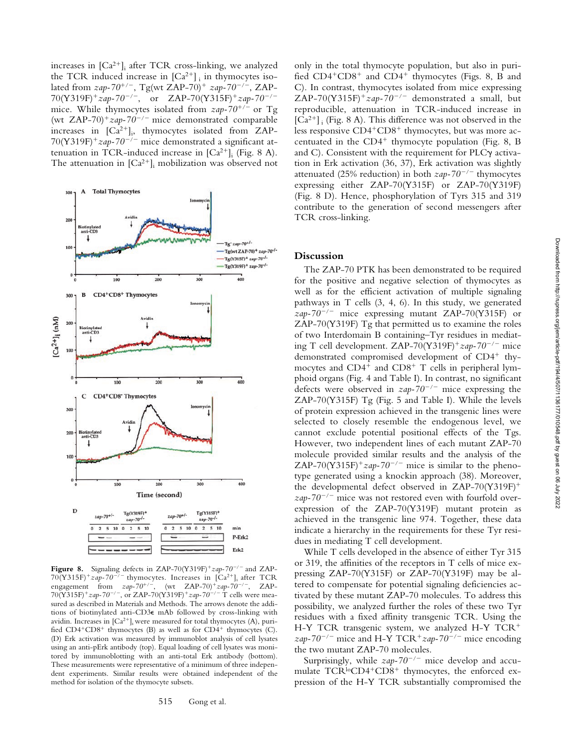increases in  $[Ca^{2+}]_i$  after TCR cross-linking, we analyzed the TCR induced increase in  $[Ca^{2+}]$ ; in thymocytes isolated from  $\alpha zap-70^{+/-}$ , Tg(wt ZAP-70)<sup>+</sup>  $\alpha zap-70^{-/-}$ , ZAP-70(Y319F)<sup>+</sup>zap-70<sup>-/-</sup>, or ZAP-70(Y315F)<sup>+</sup>zap-70<sup>-/-</sup> mice. While thymocytes isolated from  $\frac{zap-70^{+/-}}{}$  or Tg (wt ZAP-70)<sup>+</sup> $zap-70^{-/-}$  mice demonstrated comparable increases in  $[Ca^{2+}]_i$ , thymocytes isolated from ZAP-70(Y319F)<sup>+</sup> $zap-70^{-/-}$  mice demonstrated a significant attenuation in TCR-induced increase in  $[Ca^{2+}]_i$  (Fig. 8 A). The attenuation in  $\left[Ca^{2+}\right]_i$  mobilization was observed not



**Figure 8.** Signaling defects in ZAP-70(Y319F)<sup>+</sup>zap-70<sup>-/-</sup> and ZAP- $70(Y315F)^+$ zap-70<sup>-/-</sup> thymocytes. Increases in  $[Ca^{2+}]$ ; after TCR engagement from  $zap-70^{+/-}$ , (wt ZAP-70)<sup>+</sup> $zap-70^{-/-}$ , ZAP-70(Y315F)<sup>+</sup>zap-70<sup>-/-</sup>, or ZAP-70(Y319F)<sup>+</sup>zap-70<sup>-/-</sup>T cells were measured as described in Materials and Methods. The arrows denote the additions of biotinylated anti-CD3 mAb followed by cross-linking with avidin. Increases in  $[Ca^{2+}]_i$  were measured for total thymocytes (A), purified  $CD4+CD8+$  thymocytes (B) as well as for  $CD4+$  thymocytes (C). (D) Erk activation was measured by immunoblot analysis of cell lysates using an anti-pErk antibody (top). Equal loading of cell lysates was monitored by immunoblotting with an anti-total Erk antibody (bottom). These measurements were representative of a minimum of three independent experiments. Similar results were obtained independent of the method for isolation of the thymocyte subsets.

Surprisingly, while  $zap-70^{-/-}$  mice develop and accumulate  $TCR^{lo}CD4+CD8+$  thymocytes, the enforced expression of the H-Y TCR substantially compromised the

only in the total thymocyte population, but also in purified  $CD4+CD8+$  and  $CD4+$  thymocytes (Figs. 8, B and C). In contrast, thymocytes isolated from mice expressing ZAP-70(Y315F)<sup>+</sup>zap-70<sup>-/-</sup> demonstrated a small, but reproducible, attenuation in TCR-induced increase in  $[Ca^{2+}]$ ; (Fig. 8 A). This difference was not observed in the less responsive  $CD4+CD8+$  thymocytes, but was more accentuated in the  $CD4^+$  thymocyte population (Fig. 8, B) and C). Consistent with the requirement for PLC $\gamma$  activation in Erk activation (36, 37), Erk activation was slightly attenuated (25% reduction) in both  $zap-70^{-/-}$  thymocytes expressing either ZAP-70(Y315F) or ZAP-70(Y319F) (Fig. 8 D). Hence, phosphorylation of Tyrs 315 and 319 contribute to the generation of second messengers after TCR cross-linking.

#### **Discussion**

The ZAP-70 PTK has been demonstrated to be required for the positive and negative selection of thymocytes as well as for the efficient activation of multiple signaling pathways in T cells (3, 4, 6). In this study, we generated  $zap-70^{-/-}$  mice expressing mutant ZAP-70(Y315F) or ZAP-70(Y319F) Tg that permitted us to examine the roles of two Interdomain B containing–Tyr residues in mediating T cell development. ZAP-70(Y319F)<sup>+</sup> $zap-70^{-/-}$  mice demonstrated compromised development of CD4<sup>+</sup> thymocytes and  $CD4^+$  and  $CD8^+$  T cells in peripheral lymphoid organs (Fig. 4 and Table I). In contrast, no significant defects were observed in  $zap-70^{-/-}$  mice expressing the ZAP-70(Y315F) Tg (Fig. 5 and Table I). While the levels of protein expression achieved in the transgenic lines were selected to closely resemble the endogenous level, we cannot exclude potential positional effects of the Tgs. However, two independent lines of each mutant ZAP-70 molecule provided similar results and the analysis of the ZAP-70(Y315F)<sup>+</sup> $zap-70^{-/-}$  mice is similar to the phenotype generated using a knockin approach (38). Moreover, the developmental defect observed in ZAP-70(Y319F) *zap-70/* mice was not restored even with fourfold overexpression of the ZAP-70(Y319F) mutant protein as achieved in the transgenic line 974. Together, these data indicate a hierarchy in the requirements for these Tyr residues in mediating T cell development.

While T cells developed in the absence of either Tyr 315 or 319, the affinities of the receptors in T cells of mice expressing ZAP-70(Y315F) or ZAP-70(Y319F) may be altered to compensate for potential signaling deficiencies activated by these mutant ZAP-70 molecules. To address this possibility, we analyzed further the roles of these two Tyr residues with a fixed affinity transgenic TCR. Using the H-Y TCR transgenic system, we analyzed H-Y TCR  $\frac{zap-70^{-/-}}{+}$  mice and H-Y TCR<sup>+</sup> $\frac{zap-70^{-/-}}{+}$  mice encoding the two mutant ZAP-70 molecules.

Downloaded from http://rupress.org/jem/article-pdf/194/4/507/1136177/010548.pdf by guest on 06 July 2022

Downloaded from http://rupress.org/jem/article-pdf/194/4/507/1136177/010548.pdf by guest on 06 July 2022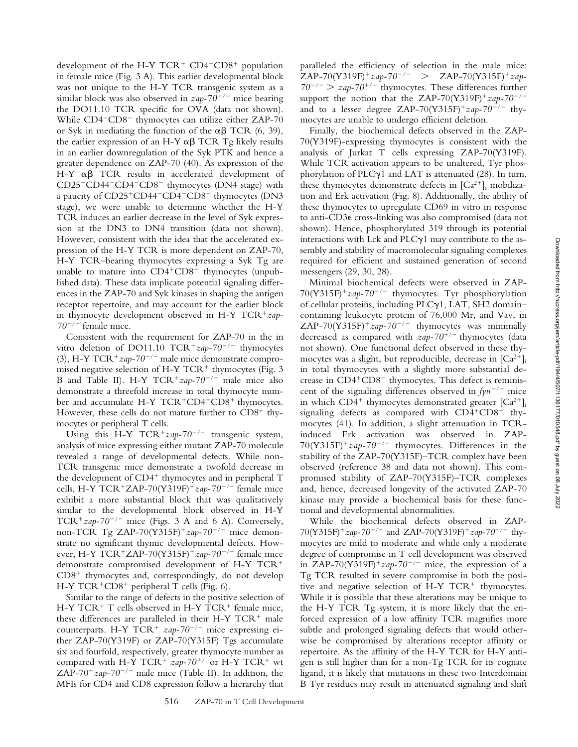development of the H-Y  $TCR^+$   $CD4^+CD8^+$  population in female mice (Fig. 3 A). This earlier developmental block was not unique to the H-Y TCR transgenic system as a similar block was also observed in  $\frac{zap-70^{-}}{}$  mice bearing the DO11.10 TCR specific for OVA (data not shown). While  $CD4-CD8^-$  thymocytes can utilize either  $ZAP-70$ or Syk in mediating the function of the  $\alpha\beta$  TCR (6, 39), the earlier expression of an H-Y  $\alpha\beta$  TCR Tg likely results in an earlier downregulation of the Syk PTK and hence a greater dependence on ZAP-70 (40). As expression of the H-Y  $\alpha\beta$  TCR results in accelerated development of CD25<sup>-</sup>CD44<sup>-</sup>CD4<sup>-</sup>CD8<sup>-</sup> thymocytes (DN4 stage) with a paucity of CD25<sup>+</sup>CD44<sup>-</sup>CD4<sup>-</sup>CD8<sup>-</sup> thymocytes (DN3 stage), we were unable to determine whether the H-Y TCR induces an earlier decrease in the level of Syk expression at the DN3 to DN4 transition (data not shown). However, consistent with the idea that the accelerated expression of the H-Y TCR is more dependent on ZAP-70, H-Y TCR–bearing thymocytes expressing a Syk Tg are unable to mature into  $CD4+CD8$ <sup>+</sup> thymocytes (unpublished data). These data implicate potential signaling differences in the ZAP-70 and Syk kinases in shaping the antigen receptor repertoire, and may account for the earlier block in thymocyte development observed in H-Y TCR<sup>+</sup>zap-*70/* female mice.

Consistent with the requirement for ZAP-70 in the in vitro deletion of DO11.10  $TCR^+zap-70^{-/-}$  thymocytes (3), H-Y TCR<sup>+</sup>zap-70<sup>-/-</sup> male mice demonstrate compromised negative selection of H-Y  $TCR^+$  thymocytes (Fig. 3) B and Table II). H-Y  $TCR^+zap-70^{-/-}$  male mice also demonstrate a threefold increase in total thymocyte number and accumulate H-Y TCR+CD4+CD8+ thymocytes. However, these cells do not mature further to  $CD8<sup>+</sup>$  thymocytes or peripheral T cells.

Using this H-Y  $TCR^+zap-70^{-/-}$  transgenic system, analysis of mice expressing either mutant ZAP-70 molecule revealed a range of developmental defects. While non-TCR transgenic mice demonstrate a twofold decrease in the development of  $CD4^+$  thymocytes and in peripheral T cells, H-Y TCR<sup>+</sup>ZAP-70(Y319F)<sup>+</sup> $zap$ -70<sup>-/-</sup> female mice exhibit a more substantial block that was qualitatively similar to the developmental block observed in H-Y TCR<sup>+</sup> $zap-70^{-/-}$  mice (Figs. 3 A and 6 A). Conversely, non-TCR Tg ZAP-70(Y315F)<sup>+</sup> $zap-70^{-/-}$  mice demonstrate no significant thymic developmental defects. However, H-Y TCR<sup>+</sup>ZAP-70(Y315F)<sup>+</sup>zap-70<sup>-/-</sup> female mice demonstrate compromised development of H-Y TCR  $CD8<sup>+</sup>$  thymocytes and, correspondingly, do not develop H-Y TCR<sup>+</sup>CD8<sup>+</sup> peripheral T cells (Fig. 6).

Similar to the range of defects in the positive selection of H-Y TCR<sup>+</sup> T cells observed in H-Y TCR<sup>+</sup> female mice, these differences are paralleled in their  $H-Y TCR^+$  male counterparts. H-Y TCR<sup>+</sup>  $zap-70^{-/-}$  mice expressing either ZAP-70(Y319F) or ZAP-70(Y315F) Tgs accumulate six and fourfold, respectively, greater thymocyte number as compared with H-Y TCR<sup>+</sup>  $zap-70^{+/}$  or H-Y TCR<sup>+</sup> wt ZAP-70<sup>+</sup> $zap$ -70<sup>-/-</sup> male mice (Table II). In addition, the MFIs for CD4 and CD8 expression follow a hierarchy that

paralleled the efficiency of selection in the male mice:  $ZAP-70(Y319F)^+$ zap-70<sup>-/-</sup> >  $ZAP-70(Y315F)^+$ zap- $70^{-/-}$  >  $zap-70^{+/-}$  thymocytes. These differences further support the notion that the ZAP-70(Y319F)<sup>+</sup> $zap$ -70<sup>-/-</sup> and to a lesser degree ZAP-70(Y315F)<sup>+</sup> $zap$ -70<sup>-/-</sup> thymocytes are unable to undergo efficient deletion.

Finally, the biochemical defects observed in the ZAP-70(Y319F)-expressing thymocytes is consistent with the analysis of Jurkat T cells expressing ZAP-70(Y319F). While TCR activation appears to be unaltered, Tyr phosphorylation of PLC $\gamma$ 1 and LAT is attenuated (28). In turn, these thymocytes demonstrate defects in  $[Ca^{2+}]_i$  mobilization and Erk activation (Fig. 8). Additionally, the ability of these thymocytes to upregulate CD69 in vitro in response to anti-CD3 cross-linking was also compromised (data not shown). Hence, phosphorylated 319 through its potential interactions with Lck and  $PLC\gamma1$  may contribute to the assembly and stability of macromolecular signaling complexes required for efficient and sustained generation of second messengers (29, 30, 28).

Minimal biochemical defects were observed in ZAP-70(Y315F)*zap-70/* thymocytes. Tyr phosphorylation of cellular proteins, including PLCy1, LAT, SH2 domaincontaining leukocyte protein of 76,000 Mr, and Vav, in ZAP-70(Y315F)<sup>+</sup> $zap-70^{-/-}$  thymocytes was minimally decreased as compared with *zap-70<sup>+/-</sup>* thymocytes (data not shown). One functional defect observed in these thymocytes was a slight, but reproducible, decrease in  $[Ca^{2+}]$ ; in total thymocytes with a slightly more substantial decrease in  $CD4+CD8$  thymocytes. This defect is reminiscent of the signaling differences observed in  $fyn^{-/-}$  mice in which  $CD4^+$  thymocytes demonstrated greater  $[Ca^{2+}]_i$ signaling defects as compared with  $CD4+CD8+$  thymocytes (41). In addition, a slight attenuation in TCRinduced Erk activation was observed in ZAP- $70(Y315F)^+$ zap- $70^{-/-}$  thymocytes. Differences in the stability of the ZAP-70(Y315F)–TCR complex have been observed (reference 38 and data not shown). This compromised stability of ZAP-70(Y315F)–TCR complexes and, hence, decreased longevity of the activated ZAP-70 kinase may provide a biochemical basis for these functional and developmental abnormalities.

While the biochemical defects observed in ZAP-70(Y315F)*zap-70/* and ZAP-70(Y319F)*zap-70/* thymocytes are mild to moderate and while only a moderate degree of compromise in T cell development was observed in ZAP-70(Y319F)<sup>+</sup> $zap$ -70<sup>-/-</sup> mice, the expression of a Tg TCR resulted in severe compromise in both the positive and negative selection of H-Y  $TCR<sup>+</sup>$  thymocytes. While it is possible that these alterations may be unique to the H-Y TCR Tg system, it is more likely that the enforced expression of a low affinity TCR magnifies more subtle and prolonged signaling defects that would otherwise be compromised by alterations receptor affinity or repertoire. As the affinity of the H-Y TCR for H-Y antigen is still higher than for a non-Tg TCR for its cognate ligand, it is likely that mutations in these two Interdomain B Tyr residues may result in attenuated signaling and shift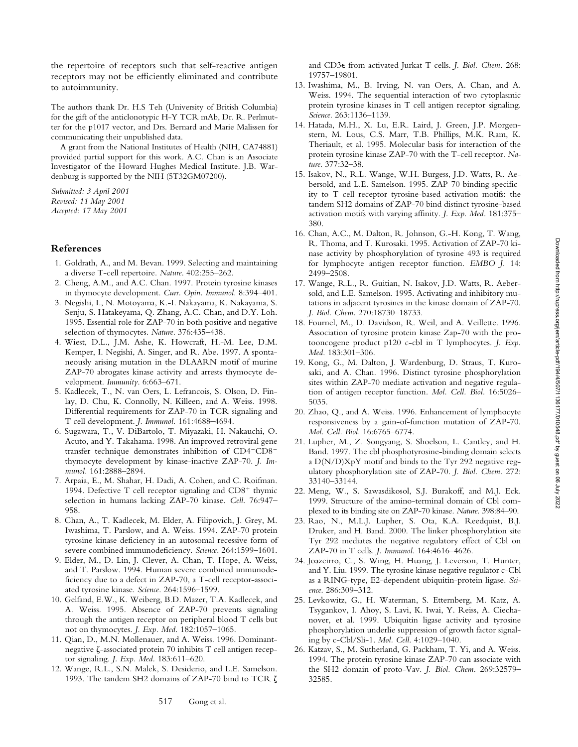the repertoire of receptors such that self-reactive antigen receptors may not be efficiently eliminated and contribute to autoimmunity.

The authors thank Dr. H.S Teh (University of British Columbia) for the gift of the anticlonotypic H-Y TCR mAb, Dr. R. Perlmutter for the p1017 vector, and Drs. Bernard and Marie Malissen for communicating their unpublished data.

A grant from the National Institutes of Health (NIH, CA74881) provided partial support for this work. A.C. Chan is an Associate Investigator of the Howard Hughes Medical Institute. J.B. Wardenburg is supported by the NIH (5T32GM07200).

*Submitted: 3 April 2001 Revised: 11 May 2001 Accepted: 17 May 2001*

# **References**

- 1. Goldrath, A., and M. Bevan. 1999. Selecting and maintaining a diverse T-cell repertoire. *Nature*. 402:255–262.
- 2. Cheng, A.M., and A.C. Chan. 1997. Protein tyrosine kinases in thymocyte development. *Curr. Opin. Immunol.* 8:394–401.
- 3. Negishi, I., N. Motoyama, K.-I. Nakayama, K. Nakayama, S. Senju, S. Hatakeyama, Q. Zhang, A.C. Chan, and D.Y. Loh. 1995. Essential role for ZAP-70 in both positive and negative selection of thymocytes. *Nature*. 376:435–438.
- 4. Wiest, D.L., J.M. Ashe, K. Howcraft, H.-M. Lee, D.M. Kemper, I. Negishi, A. Singer, and R. Abe. 1997. A spontaneously arising mutation in the DLAARN motif of murine ZAP-70 abrogates kinase activity and arrests thymocyte development. *Immunity*. 6:663–671.
- 5. Kadlecek, T., N. van Oers, L. Lefrancois, S. Olson, D. Finlay, D. Chu, K. Connolly, N. Killeen, and A. Weiss. 1998. Differential requirements for ZAP-70 in TCR signaling and T cell development. *J. Immunol.* 161:4688–4694.
- 6. Sugawara, T., V. DiBartolo, T. Miyazaki, H. Nakauchi, O. Acuto, and Y. Takahama. 1998. An improved retroviral gene transfer technique demonstrates inhibition of CD4<sup>-CD8<sup>-</sup></sup> thymocyte development by kinase-inactive ZAP-70. *J. Immunol.* 161:2888–2894.
- 7. Arpaia, E., M. Shahar, H. Dadi, A. Cohen, and C. Roifman. 1994. Defective T cell receptor signaling and  $CD8<sup>+</sup>$  thymic selection in humans lacking ZAP-70 kinase. *Cell*. 76:947– 958.
- 8. Chan, A., T. Kadlecek, M. Elder, A. Filipovich, J. Grey, M. Iwashima, T. Parslow, and A. Weiss. 1994. ZAP-70 protein tyrosine kinase deficiency in an autosomal recessive form of severe combined immunodeficiency. *Science*. 264:1599–1601.
- 9. Elder, M., D. Lin, J. Clever, A. Chan, T. Hope, A. Weiss, and T. Parslow. 1994. Human severe combined immunodeficiency due to a defect in ZAP-70, a T-cell receptor-associated tyrosine kinase. *Science*. 264:1596–1599.
- 10. Gelfand, E.W., K. Weiberg, B.D. Mazer, T.A. Kadlecek, and A. Weiss. 1995. Absence of ZAP-70 prevents signaling through the antigen receptor on peripheral blood T cells but not on thymocytes. *J. Exp. Med.* 182:1057–1065.
- 11. Qian, D., M.N. Mollenauer, and A. Weiss. 1996. Dominantnegative  $\zeta$ -associated protein 70 inhibits T cell antigen receptor signaling. *J. Exp. Med.* 183:611–620.
- 12. Wange, R.L., S.N. Malek, S. Desiderio, and L.E. Samelson. 1993. The tandem SH2 domains of ZAP-70 bind to TCR  $\zeta$

and CD3 $\epsilon$  from activated Jurkat T cells. *J. Biol. Chem.* 268: 19757–19801.

- 13. Iwashima, M., B. Irving, N. van Oers, A. Chan, and A. Weiss. 1994. The sequential interaction of two cytoplasmic protein tyrosine kinases in T cell antigen receptor signaling. *Science*. 263:1136–1139.
- 14. Hatada, M.H., X. Lu, E.R. Laird, J. Green, J.P. Morgenstern, M. Lous, C.S. Marr, T.B. Phillips, M.K. Ram, K. Theriault, et al. 1995. Molecular basis for interaction of the protein tyrosine kinase ZAP-70 with the T-cell receptor. *Nature*. 377:32–38.
- 15. Isakov, N., R.L. Wange, W.H. Burgess, J.D. Watts, R. Aebersold, and L.E. Samelson. 1995. ZAP-70 binding specificity to T cell receptor tyrosine-based activation motifs: the tandem SH2 domains of ZAP-70 bind distinct tyrosine-based activation motifs with varying affinity. *J. Exp. Med.* 181:375– 380.
- 16. Chan, A.C., M. Dalton, R. Johnson, G.-H. Kong, T. Wang, R. Thoma, and T. Kurosaki. 1995. Activation of ZAP-70 kinase activity by phosphorylation of tyrosine 493 is required for lymphocyte antigen receptor function. *EMBO J.* 14: 2499–2508.
- 17. Wange, R.L., R. Guitian, N. Isakov, J.D. Watts, R. Aebersold, and L.E. Samelson. 1995. Activating and inhibitory mutations in adjacent tyrosines in the kinase domain of ZAP-70. *J. Biol. Chem.* 270:18730–18733.
- 18. Fournel, M., D. Davidson, R. Weil, and A. Veillette. 1996. Association of tyrosine protein kinase Zap-70 with the protooncogene product p120 c-cbl in T lymphocytes. *J. Exp. Med.* 183:301–306.
- 19. Kong, G., M. Dalton, J. Wardenburg, D. Straus, T. Kurosaki, and A. Chan. 1996. Distinct tyrosine phosphorylation sites within ZAP-70 mediate activation and negative regulation of antigen receptor function. *Mol. Cell. Biol.* 16:5026– 5035.
- 20. Zhao, Q., and A. Weiss. 1996. Enhancement of lymphocyte responsiveness by a gain-of-function mutation of ZAP-70. *Mol. Cell. Biol.* 16:6765–6774.
- 21. Lupher, M., Z. Songyang, S. Shoelson, L. Cantley, and H. Band. 1997. The cbl phosphotyrosine-binding domain selects a D(N/D)XpY motif and binds to the Tyr 292 negative regulatory phosphorylation site of ZAP-70. *J. Biol. Chem.* 272: 33140–33144.
- 22. Meng, W., S. Sawasdikosol, S.J. Burakoff, and M.J. Eck. 1999. Structure of the amino-terminal domain of Cbl complexed to its binding site on ZAP-70 kinase. *Nature*. 398:84–90.
- 23. Rao, N., M.L.J. Lupher, S. Ota, K.A. Reedquist, B.J. Druker, and H. Band. 2000. The linker phosphorylation site Tyr 292 mediates the negative regulatory effect of Cbl on ZAP-70 in T cells. *J. Immunol.* 164:4616–4626.
- 24. Joazeirro, C., S. Wing, H. Huang, J. Leverson, T. Hunter, and Y. Liu. 1999. The tyrosine kinase negative regulator c-Cbl as a RING-type, E2-dependent ubiquitin-protein ligase. *Science*. 286:309–312.
- 25. Levkowitz, G., H. Waterman, S. Etternberg, M. Katz, A. Tsygankov, I. Ahoy, S. Lavi, K. Iwai, Y. Reiss, A. Ciechanover, et al. 1999. Ubiquitin ligase activity and tyrosine phosphorylation underlie suppression of growth factor signaling by c-Cbl/Sli-1. *Mol. Cell*. 4:1029–1040.
- 26. Katzav, S., M. Sutherland, G. Packham, T. Yi, and A. Weiss. 1994. The protein tyrosine kinase ZAP-70 can associate with the SH2 domain of proto-Vav. *J. Biol. Chem.* 269:32579– 32585.